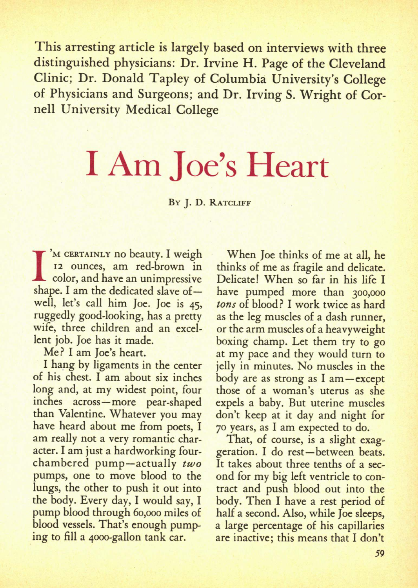This arresting article is largely based on interviews with three distinguished physicians: Dr. Irvine H. Page of the Cleveland Clinic; Dr. Donald Tapley of Columbia University's College of Physicians and Surgeons; and Dr. Irving S. Wright of Cornell University Medical College

## I Am Joe's Heart

## BY J. D. RATCLIFF

I'M CERTAINLY NO beauty. I weigh<br>
I color, and have an unimpressive<br>
shape. I am the dedicated slave of-'M CERTAINLY no beauty. I weigh 12 ounces, am red-brown in color, and have an unimpressive well, let's call him Joe. Joe is 45, ruggedly good-looking, has a pretty wife, three children and an excellent job. Joe has it made.

Me? I am Joe's heart.

I hang by ligaments in the center of his chest. I am about six inches long and, at my widest point, four inches across—more pearshaped than Valentine. Whatever you may have heard about me from poets, I am really not a very romantic character. I am just a hardworking fourchambered pump—actually *two*  pumps, one to move blood to the lungs, the other to push it out into the body. Every day, I would say, I pump blood through 60,000 miles of blood vessels. That's enough pumping to fill a 4000-gallon tank car.

When Joe thinks of me at all, he thinks of me as fragile and delicate. Delicate! When so far in his life I have pumped more than 300,000 tons of blood? I work twice as hard as the leg muscles of a dash runner, or the arm muscles of a heavyweight boxing champ. Let them try to go at my pace and they would turn to jelly in minutes. No muscles in the body are as strong as I am—except those of a woman's uterus as she expels a baby. But uterine muscles don't keep at it day and night for 70 years, as I am expected to do.

That, of course, is a slight exaggeration. I do rest—between beats. It takes about three tenths of a second for my big left ventricle to contract and push blood out into the body. Then I have a rest period of half a second. Also, while Joe sleeps, a large percentage of his capillaries are inactive; this means that I don't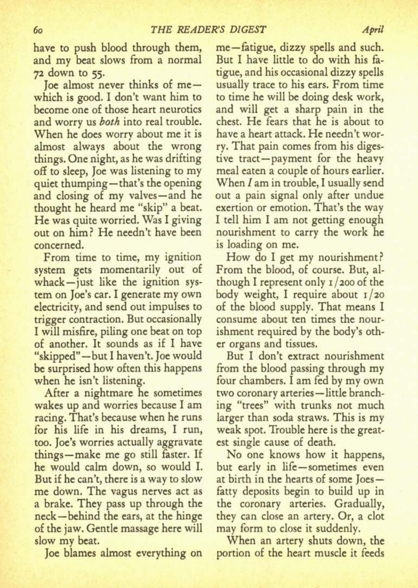have to push blood through them, and my beat slows from a normal 72 down to 55.

Joe almost never thinks of me which is good. I don't want him to become one of those heart neurotics and worry us *both* into real trouble. When he does worry about me it is almost always about the wrong things. One night, as he was drifting off to sleep, Joe was listening to my quiet thumping—that's the opening and closing of my valves—and he thought he heard me "skip" a beat. He was quite worried. Was I giving out on him? He needn't have been concerned.

From time to time, my ignition system gets momentarily out of whack—just like the ignition system on Joe's car. I generate my own electricity, and send out impulses to trigger contraction. But occasionally I will misfire, piling one beat on top of another. It sounds as if I have "skipped"—but I haven't. Joe would be surprised how often this happens when he isn't listening.

After a nightmare he sometimes wakes up and worries because I am racing. That's because when he runs for his life in his dreams, I run, too. Joe's worries actually aggravate things—make me go still faster. If he would calm down, so would I. But if he can't, there is a way to slow me down. The vagus nerves act as a brake. They pass up through the neck—behind the ears, at the hinge of the jaw. Gentle massage here will slow my beat.

Joe blames almost everything on

me—fatigue, dizzy spells and such. But I have little to do with his fatigue, and his occasional dizzy spells usually trace to his ears. From time to time he will be doing desk work, and will get a sharp pain in the chest. He fears that he is about to have a heart attack. He needn't worry. That pain comes from his digestive tract—payment for the heavy meal eaten a couple of hours earlier. When I am in trouble, I usually send out a pain signal only after undue exertion or emotion. That's the way I tell him I am not getting enough nourishment to carry the work he is loading on me.

How do I get my nourishment? From the blood, of course. But, although I represent only  $1/200$  of the body weight, I require about 1/20 of the blood supply. That means I consume about ten times the nourishment required by the body's other organs and tissues.

But I don't extract nourishment from the blood passing through my four chambers. I am fed by my own two coronary arteries - little branching "trees" with trunks not much larger than soda straws. This is my weak spot. Trouble here is the greatest single cause of death.

No one knows how it happens, but early in life — sometimes even at birth in the hearts of some Joes fatty deposits begin to build up in the coronary arteries. Gradually, they can close an artery. Or, a clot may form to close it suddenly.

When an artery shuts down, the portion of the heart muscle it feeds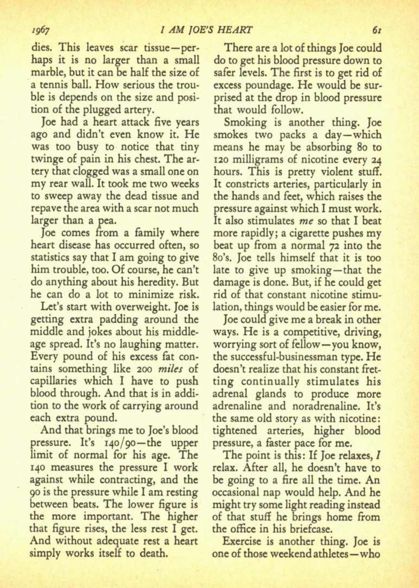dies. This leaves scar tissue—perhaps it is no larger than a small marble, but it can be half the size of a tennis ball. How serious the trouble is depends on the size and position of the plugged artery.

Joe had a heart attack five years ago and didn't even know it. He was too busy to notice that tiny twinge of pain in his chest. The artery that clogged was a small one on my rear wall. It took me two weeks to sweep away the dead tissue and repave the area with a scar not much larger than a pea.

Joe comes from a family where heart disease has occurred often, so statistics say that I am going to give him trouble, too. Of course, he can't do anything about his heredity. But he can do a lot to minimize risk.

Let's start with overweight. Joe is getting extra padding around the middle and jokes about his middleage spread. It's no laughing matter. Every pound of his excess fat contains something like 200 *miles* of capillaries which I have to push blood through. And that is in addition to the work of carrying around each extra pound.

And that brings me to Joe's blood pressure. It's 140/90—the upper limit of normal for his age. The 140 measures the pressure I work against while contracting, and the 90 is the pressure while I am resting between beats. The lower figure is the more important. The higher that figure rises, the less rest I get. And without adequate rest a heart simply works itself to death.

There are a lot of things Joe could do to get his blood pressure down to safer levels. The first is to get rid of excess poundage. He would be surprised at the drop in blood pressure that would follow.

Smoking is another thing. Joe smokes two packs a day—which means he may be absorbing 80 to 120 milligrams of nicotine every 24 hours. This is pretty violent stuff. It constricts arteries, particularly in the hands and feet, which raises the pressure against which I must work. It also stimulates *me* so that I beat more rapidly; a cigarette pushes my beat up from a normal 72 into the 8o's. Joe tells himself that it is too late to give up smoking—that the damage is done. But, if he could get rid of that constant nicotine stimulation, things would be easier for me.

Joe could give me a break in other ways. He is a competitive, driving, worrying sort of fellow—you know, the successful-businessman type. He doesn't realize that his constant fretting continually stimulates his adrenal glands to produce more adrenaline and noradrenaline. It's the same old story as with nicotine: tightened arteries, higher blood pressure, a faster pace for me.

The point is this: If Joe relaxes, I relax. After all, he doesn't have to be going to a fire all the time. An occasional nap would help. And he might try some light reading instead of that stuff he brings home from the office in his briefcase.

Exercise is another thing. Joe is one of those weekend athletes—who